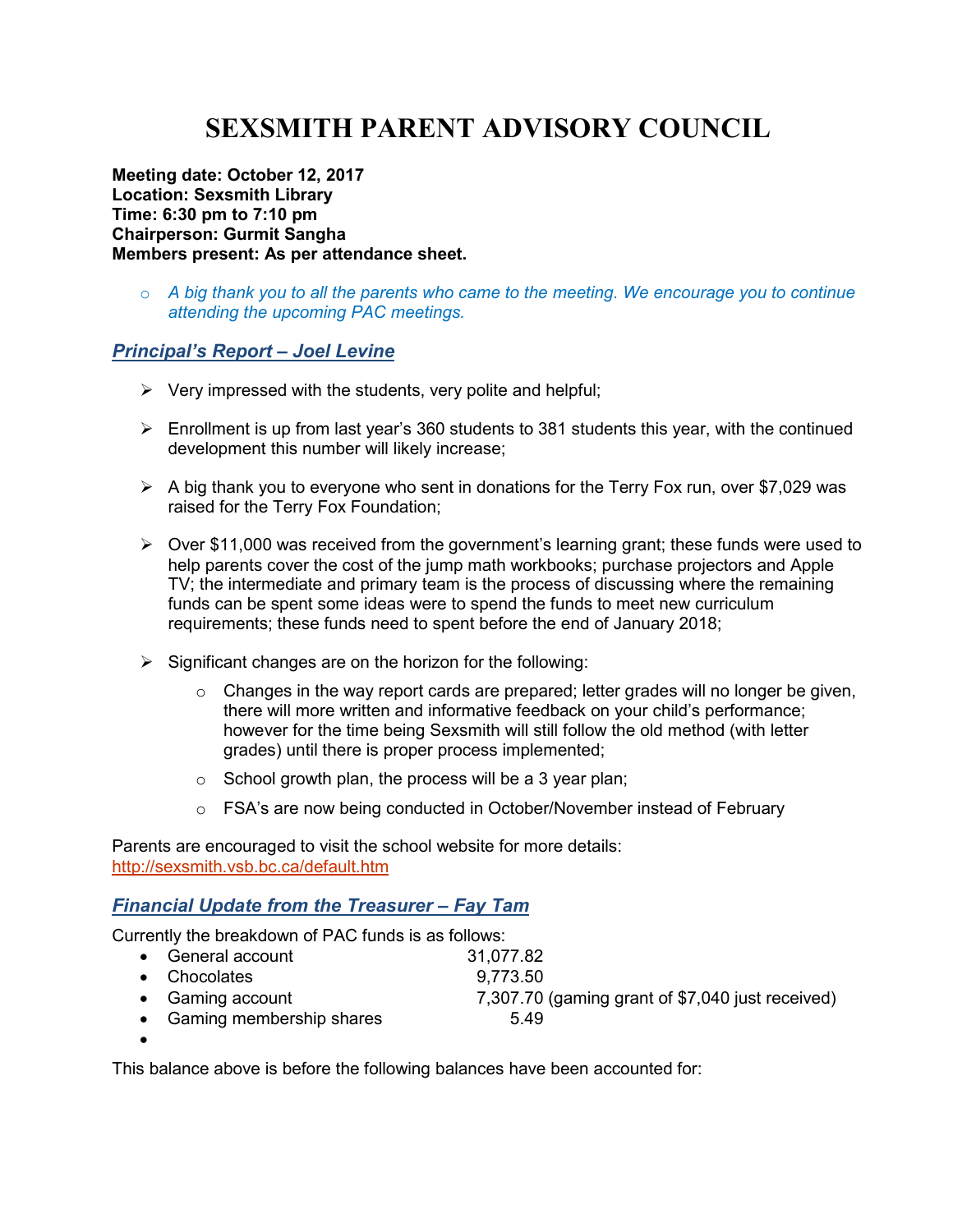# **SEXSMITH PARENT ADVISORY COUNCIL**

**Meeting date: October 12, 2017 Location: Sexsmith Library Time: 6:30 pm to 7:10 pm Chairperson: Gurmit Sangha Members present: As per attendance sheet.** 

o *A big thank you to all the parents who came to the meeting. We encourage you to continue attending the upcoming PAC meetings.* 

#### *Principal's Report – Joel Levine*

- $\triangleright$  Very impressed with the students, very polite and helpful;
- $\triangleright$  Enrollment is up from last year's 360 students to 381 students this year, with the continued development this number will likely increase;
- $\triangleright$  A big thank you to everyone who sent in donations for the Terry Fox run, over \$7,029 was raised for the Terry Fox Foundation;
- $\triangleright$  Over \$11,000 was received from the government's learning grant; these funds were used to help parents cover the cost of the jump math workbooks; purchase projectors and Apple TV; the intermediate and primary team is the process of discussing where the remaining funds can be spent some ideas were to spend the funds to meet new curriculum requirements; these funds need to spent before the end of January 2018;
- $\triangleright$  Significant changes are on the horizon for the following:
	- $\circ$  Changes in the way report cards are prepared; letter grades will no longer be given, there will more written and informative feedback on your child's performance; however for the time being Sexsmith will still follow the old method (with letter grades) until there is proper process implemented;
	- $\circ$  School growth plan, the process will be a 3 year plan;
	- o FSA's are now being conducted in October/November instead of February

Parents are encouraged to visit the school website for more details: http://sexsmith.vsb.bc.ca/default.htm

## *Financial Update from the Treasurer – Fay Tam*

Currently the breakdown of PAC funds is as follows:

| • General account          | 31,077.82                                        |
|----------------------------|--------------------------------------------------|
| • Chocolates               | 9,773.50                                         |
| • Gaming account           | 7,307.70 (gaming grant of \$7,040 just received) |
| • Gaming membership shares | 5.49                                             |

•

This balance above is before the following balances have been accounted for: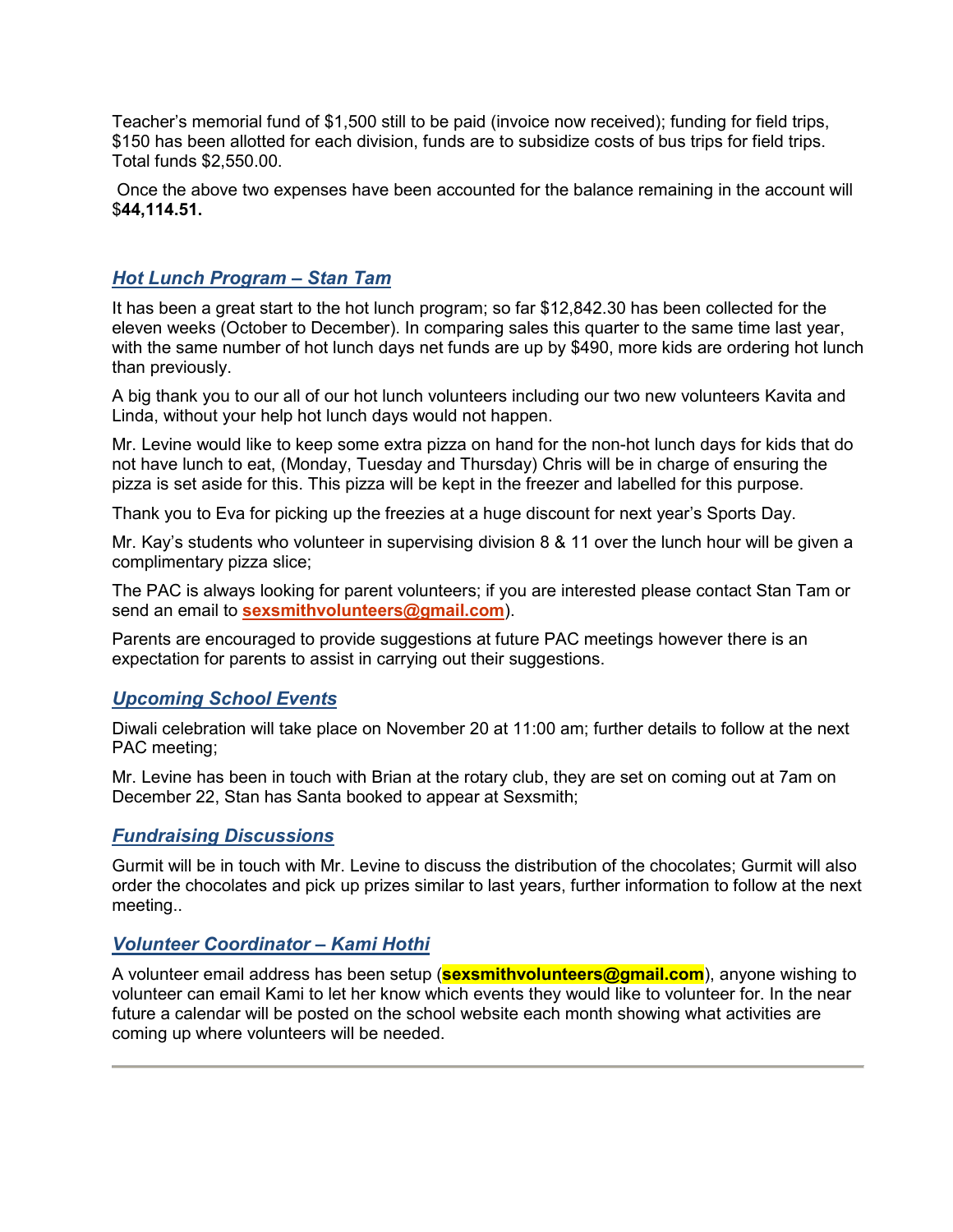Teacher's memorial fund of \$1,500 still to be paid (invoice now received); funding for field trips, \$150 has been allotted for each division, funds are to subsidize costs of bus trips for field trips. Total funds \$2,550.00.

 Once the above two expenses have been accounted for the balance remaining in the account will \$**44,114.51.**

## *Hot Lunch Program – Stan Tam*

It has been a great start to the hot lunch program; so far \$12,842.30 has been collected for the eleven weeks (October to December). In comparing sales this quarter to the same time last year, with the same number of hot lunch days net funds are up by \$490, more kids are ordering hot lunch than previously.

A big thank you to our all of our hot lunch volunteers including our two new volunteers Kavita and Linda, without your help hot lunch days would not happen.

Mr. Levine would like to keep some extra pizza on hand for the non-hot lunch days for kids that do not have lunch to eat, (Monday, Tuesday and Thursday) Chris will be in charge of ensuring the pizza is set aside for this. This pizza will be kept in the freezer and labelled for this purpose.

Thank you to Eva for picking up the freezies at a huge discount for next year's Sports Day.

Mr. Kay's students who volunteer in supervising division 8 & 11 over the lunch hour will be given a complimentary pizza slice;

The PAC is always looking for parent volunteers; if you are interested please contact Stan Tam or send an email to **sexsmithvolunteers@gmail.com**).

Parents are encouraged to provide suggestions at future PAC meetings however there is an expectation for parents to assist in carrying out their suggestions.

## *Upcoming School Events*

Diwali celebration will take place on November 20 at 11:00 am; further details to follow at the next PAC meeting;

Mr. Levine has been in touch with Brian at the rotary club, they are set on coming out at 7am on December 22, Stan has Santa booked to appear at Sexsmith;

#### *Fundraising Discussions*

Gurmit will be in touch with Mr. Levine to discuss the distribution of the chocolates; Gurmit will also order the chocolates and pick up prizes similar to last years, further information to follow at the next meeting..

## *Volunteer Coordinator – Kami Hothi*

A volunteer email address has been setup (**sexsmithvolunteers@gmail.com**), anyone wishing to volunteer can email Kami to let her know which events they would like to volunteer for. In the near future a calendar will be posted on the school website each month showing what activities are coming up where volunteers will be needed.